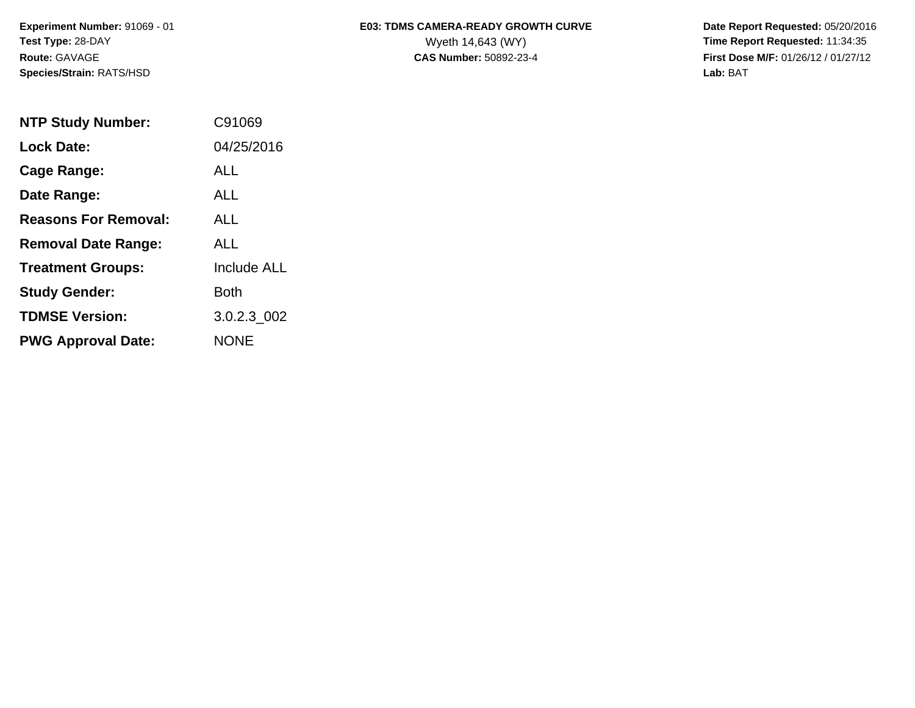**Species/Strain:** RATS/HSD **Lab:** BAT

## Experiment Number: 91069 - 01 **E03: TDMS CAMERA-READY GROWTH CURVE** Date Report Requested: 05/20/2016 **Test Type:** 28-DAY Wyeth 14,643 (WY) **Time Report Requested:** 11:34:35

**Route:** GAVAGE **CAS Number:** 50892-23-4 **First Dose M/F:** 01/26/12 / 01/27/12

| <b>NTP Study Number:</b>    | C91069             |
|-----------------------------|--------------------|
| <b>Lock Date:</b>           | 04/25/2016         |
| Cage Range:                 | ALL                |
| Date Range:                 | ALL.               |
| <b>Reasons For Removal:</b> | ALL.               |
| <b>Removal Date Range:</b>  | ALL                |
| <b>Treatment Groups:</b>    | <b>Include ALL</b> |
| <b>Study Gender:</b>        | Both               |
| <b>TDMSE Version:</b>       | 3.0.2.3 002        |
| <b>PWG Approval Date:</b>   | <b>NONE</b>        |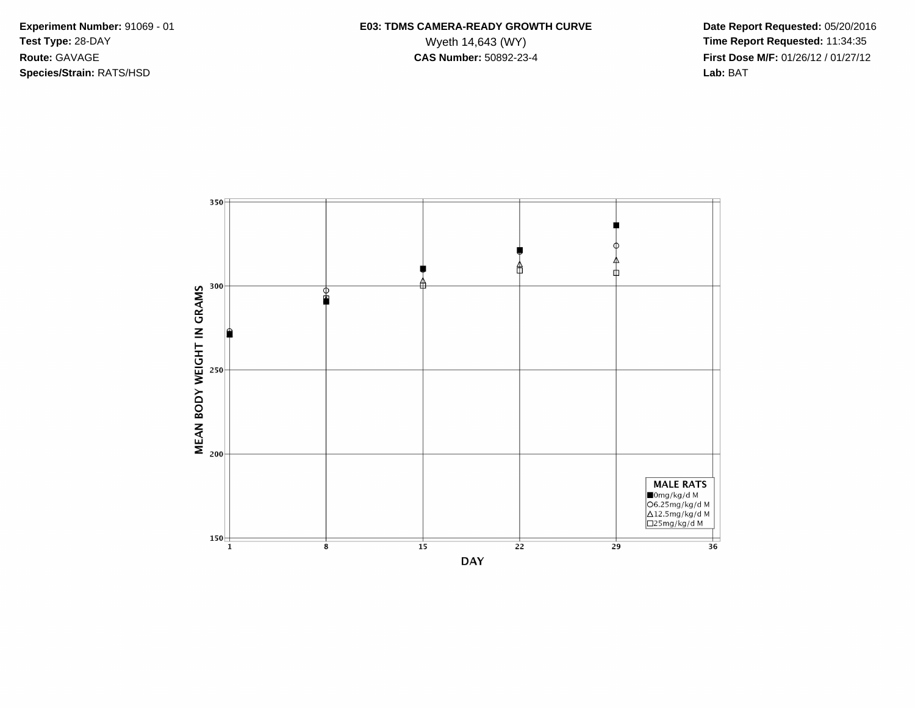**Species/Strain:** RATS/HSD **Lab:** BAT

## Experiment Number: 91069 - 01 **E03: TDMS CAMERA-READY GROWTH CURVE** Date Report Requested: 05/20/2016 **Test Type:** 28-DAY Wyeth 14,643 (WY) **Time Report Requested:** 11:34:35 **Route:** GAVAGE **CAS Number:** 50892-23-4 **First Dose M/F:** 01/26/12 / 01/27/12